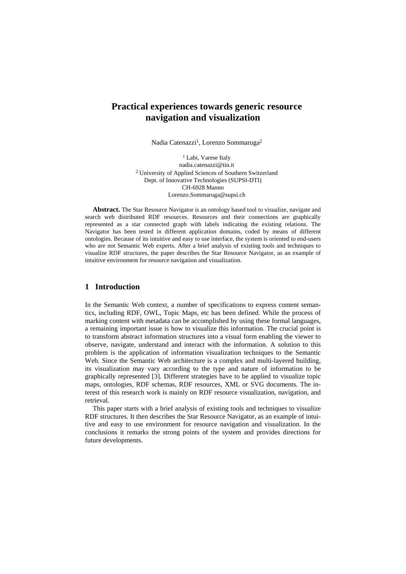# **Practical experiences towards generic resource navigation and visualization**

Nadia Catenazzi<sup>1</sup>, Lorenzo Sommaruga<sup>2</sup>

<sup>1</sup> Labi, Varese Italy nadia.catenazzi@tin.it 2 University of Applied Sciences of Southern Switzerland Dept. of Innovative Technologies (SUPSI-DTI) CH-6928 Manno Lorenzo.Sommaruga@supsi.ch

**Abstract.** The Star Resource Navigator is an ontology based tool to visualize, navigate and search web distributed RDF resources. Resources and their connections are graphically represented as a star connected graph with labels indicating the existing relations. The Navigator has been tested in different application domains, coded by means of different ontologies. Because of its intuitive and easy to use interface, the system is oriented to end-users who are not Semantic Web experts. After a brief analysis of existing tools and techniques to visualize RDF structures, the paper describes the Star Resource Navigator, as an example of intuitive environment for resource navigation and visualization.

## **1 Introduction**

In the Semantic Web context, a number of specifications to express content semantics, including RDF, OWL, Topic Maps, etc has been defined. While the process of marking content with metadata can be accomplished by using these formal languages, a remaining important issue is how to visualize this information. The crucial point is to transform abstract information structures into a visual form enabling the viewer to observe, navigate, understand and interact with the information. A solution to this problem is the application of information visualization techniques to the Semantic Web. Since the Semantic Web architecture is a complex and multi-layered building, its visualization may vary according to the type and nature of information to be graphically represented [3]. Different strategies have to be applied to visualize topic maps, ontologies, RDF schemas, RDF resources, XML or SVG documents. The interest of this research work is mainly on RDF resource visualization, navigation, and retrieval.

This paper starts with a brief analysis of existing tools and techniques to visualize RDF structures. It then describes the Star Resource Navigator, as an example of intuitive and easy to use environment for resource navigation and visualization. In the conclusions it remarks the strong points of the system and provides directions for future developments.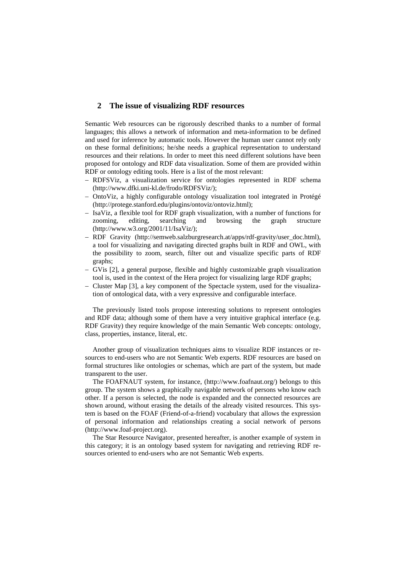#### **2 The issue of visualizing RDF resources**

Semantic Web resources can be rigorously described thanks to a number of formal languages; this allows a network of information and meta-information to be defined and used for inference by automatic tools. However the human user cannot rely only on these formal definitions; he/she needs a graphical representation to understand resources and their relations. In order to meet this need different solutions have been proposed for ontology and RDF data visualization. Some of them are provided within RDF or ontology editing tools. Here is a list of the most relevant:

- − RDFSViz, a visualization service for ontologies represented in RDF schema [\(http://www.dfki.uni-kl.de/frodo/RDFSViz/](http://www.dfki.uni-kl.de/frodo/RDFSViz/));
- − OntoViz, a highly configurable ontology visualization tool integrated in Protégé [\(http://protege.stanford.edu/plugins/ontoviz/ontoviz.html\)](http://protege.stanford.edu/plugins/ontoviz/ontoviz.html);
- − IsaViz, a flexible tool for RDF graph visualization, with a number of functions for zooming, editing, searching and browsing the graph structure (http://www.w3.org/2001/11/IsaViz/);
- RDF Gravity (http://semweb.salzburgresearch.at/apps/rdf-gravity/user\_doc.html), a tool for visualizing and navigating directed graphs built in RDF and OWL, with the possibility to zoom, search, filter out and visualize specific parts of RDF graphs;
- − GVis [2], a general purpose, flexible and highly customizable graph visualization tool is, used in the context of the Hera project for visualizing large RDF graphs;
- − Cluster Map [3], a key component of the Spectacle system, used for the visualization of ontological data, with a very expressive and configurable interface.

The previously listed tools propose interesting solutions to represent ontologies and RDF data; although some of them have a very intuitive graphical interface (e.g. RDF Gravity) they require knowledge of the main Semantic Web concepts: ontology, class, properties, instance, literal, etc.

Another group of visualization techniques aims to visualize RDF instances or resources to end-users who are not Semantic Web experts. RDF resources are based on formal structures like ontologies or schemas, which are part of the system, but made transparent to the user.

The FOAFNAUT system, for instance, (http://www.foafnaut.org/) belongs to this group. The system shows a graphically navigable network of persons who know each other. If a person is selected, the node is expanded and the connected resources are shown around, without erasing the details of the already visited resources. This system is based on the FOAF (Friend-of-a-friend) vocabulary that allows the expression of personal information and relationships creating a social network of persons (http://www.foaf-project.org).

The Star Resource Navigator, presented hereafter, is another example of system in this category; it is an ontology based system for navigating and retrieving RDF resources oriented to end-users who are not Semantic Web experts.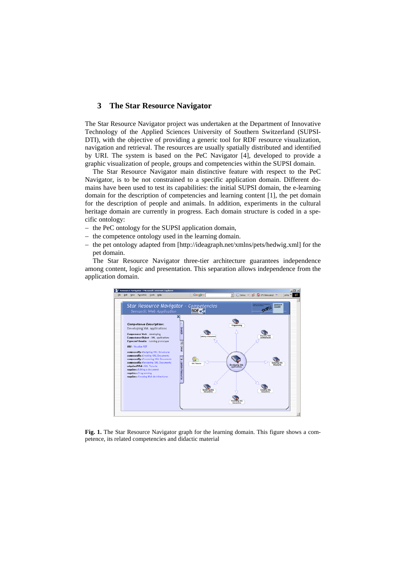## **3 The Star Resource Navigator**

The Star Resource Navigator project was undertaken at the Department of Innovative Technology of the Applied Sciences University of Southern Switzerland (SUPSI-DTI), with the objective of providing a generic tool for RDF resource visualization, navigation and retrieval. The resources are usually spatially distributed and identified by URI. The system is based on the PeC Navigator [4], developed to provide a graphic visualization of people, groups and competencies within the SUPSI domain.

The Star Resource Navigator main distinctive feature with respect to the PeC Navigator, is to be not constrained to a specific application domain. Different domains have been used to test its capabilities: the initial SUPSI domain, the e-learning domain for the description of competencies and learning content [1], the pet domain for the description of people and animals. In addition, experiments in the cultural heritage domain are currently in progress. Each domain structure is coded in a specific ontology:

- − the PeC ontology for the SUPSI application domain,
- − the competence ontology used in the learning domain.
- − the pet ontology adapted from [http://ideagraph.net/xmlns/pets/hedwig.xml] for the pet domain.

The Star Resource Navigator three-tier architecture guarantees independence among content, logic and presentation. This separation allows independence from the application domain.



Fig. 1. The Star Resource Navigator graph for the learning domain. This figure shows a competence, its related competencies and didactic material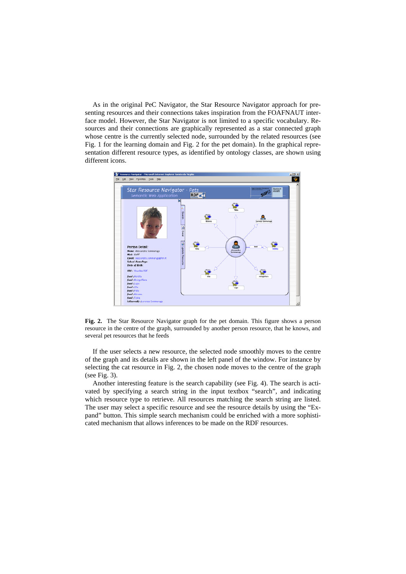As in the original PeC Navigator, the Star Resource Navigator approach for presenting resources and their connections takes inspiration from the FOAFNAUT interface model. However, the Star Navigator is not limited to a specific vocabulary. Resources and their connections are graphically represented as a star connected graph whose centre is the currently selected node, surrounded by the related resources (see Fig. 1 for the learning domain and Fig. 2 for the pet domain). In the graphical representation different resource types, as identified by ontology classes, are shown using different icons.



**Fig. 2.** The Star Resource Navigator graph for the pet domain. This figure shows a person resource in the centre of the graph, surrounded by another person resource, that he knows, and several pet resources that he feeds

If the user selects a new resource, the selected node smoothly moves to the centre of the graph and its details are shown in the left panel of the window. For instance by selecting the cat resource in Fig. 2, the chosen node moves to the centre of the graph (see Fig. 3).

Another interesting feature is the search capability (see Fig. 4). The search is activated by specifying a search string in the input textbox "search", and indicating which resource type to retrieve. All resources matching the search string are listed. The user may select a specific resource and see the resource details by using the "Expand" button. This simple search mechanism could be enriched with a more sophisticated mechanism that allows inferences to be made on the RDF resources.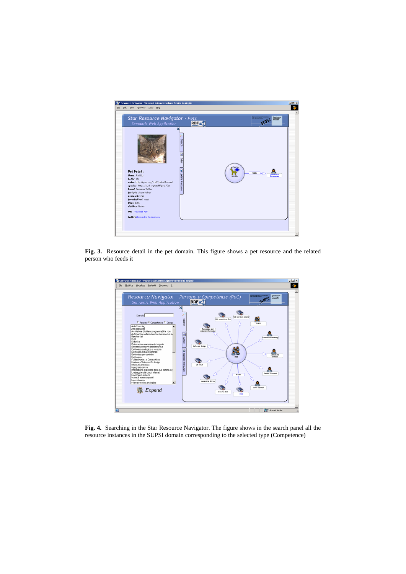

Fig. 3. Resource detail in the pet domain. This figure shows a pet resource and the related person who feeds it



**Fig. 4.** Searching in the Star Resource Navigator. The figure shows in the search panel all the resource instances in the SUPSI domain corresponding to the selected type (Competence)